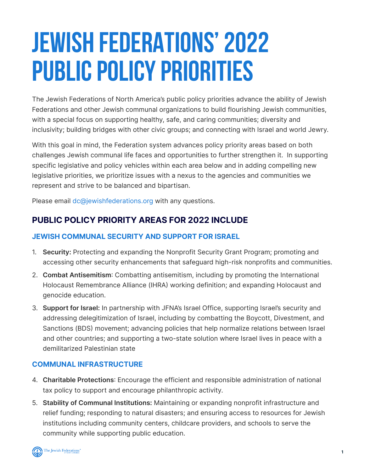# **JEWISH FEDERATIONS' 2022 PUBLIC POLICY PRIORITIES**

The Jewish Federations of North America's public policy priorities advance the ability of Jewish Federations and other Jewish communal organizations to build flourishing Jewish communities, with a special focus on supporting healthy, safe, and caring communities; diversity and inclusivity; building bridges with other civic groups; and connecting with Israel and world Jewry.

With this goal in mind, the Federation system advances policy priority areas based on both challenges Jewish communal life faces and opportunities to further strengthen it. In supporting specific legislative and policy vehicles within each area below and in adding compelling new legislative priorities, we prioritize issues with a nexus to the agencies and communities we represent and strive to be balanced and bipartisan.

Please email dc@jewishfederations.org with any questions.

# **PUBLIC POLICY PRIORITY AREAS FOR 2022 INCLUDE**

#### **JEWISH COMMUNAL SECURITY AND SUPPORT FOR ISRAEL**

- 1. **Security:** Protecting and expanding the Nonprofit Security Grant Program; promoting and accessing other security enhancements that safeguard high-risk nonprofits and communities.
- 2. **Combat Antisemitism**: Combatting antisemitism, including by promoting the International Holocaust Remembrance Alliance (IHRA) working definition; and expanding Holocaust and genocide education.
- 3. **Support for Israel:** In partnership with JFNA's Israel Office, supporting Israel's security and addressing delegitimization of Israel, including by combatting the Boycott, Divestment, and Sanctions (BDS) movement; advancing policies that help normalize relations between Israel and other countries; and supporting a two-state solution where Israel lives in peace with a demilitarized Palestinian state

#### **COMMUNAL INFRASTRUCTURE**

- 4. **Charitable Protections**: Encourage the efficient and responsible administration of national tax policy to support and encourage philanthropic activity.
- 5. **Stability of Communal Institutions:** Maintaining or expanding nonprofit infrastructure and relief funding; responding to natural disasters; and ensuring access to resources for Jewish institutions including community centers, childcare providers, and schools to serve the community while supporting public education.